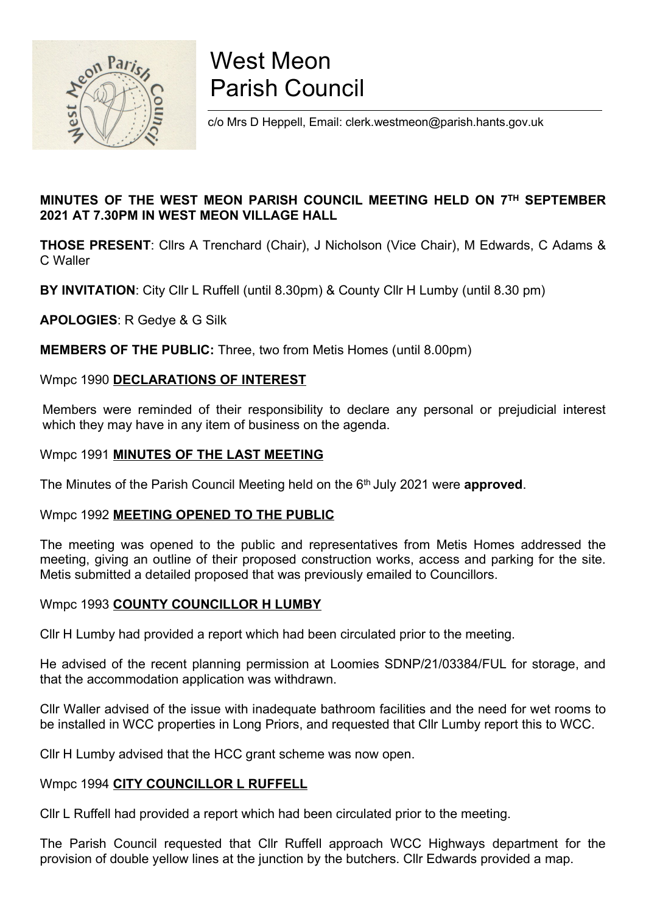

# West Meon Parish Council

c/o Mrs D Heppell, Email: clerk.westmeon@parish.hants.gov.uk

### MINUTES OF THE WEST MEON PARISH COUNCIL MEETING HELD ON 7TH SEPTEMBER 2021 AT 7.30PM IN WEST MEON VILLAGE HALL

THOSE PRESENT: Cllrs A Trenchard (Chair), J Nicholson (Vice Chair), M Edwards, C Adams & C Waller

BY INVITATION: City Cllr L Ruffell (until 8.30pm) & County Cllr H Lumby (until 8.30 pm)

APOLOGIES: R Gedye & G Silk

MEMBERS OF THE PUBLIC: Three, two from Metis Homes (until 8.00pm)

#### Wmpc 1990 DECLARATIONS OF INTEREST

Members were reminded of their responsibility to declare any personal or prejudicial interest which they may have in any item of business on the agenda.

#### Wmpc 1991 MINUTES OF THE LAST MEETING

The Minutes of the Parish Council Meeting held on the 6<sup>th</sup> July 2021 were **approved**.

#### Wmpc 1992 **MEETING OPENED TO THE PUBLIC**

The meeting was opened to the public and representatives from Metis Homes addressed the meeting, giving an outline of their proposed construction works, access and parking for the site. Metis submitted a detailed proposed that was previously emailed to Councillors.

#### Wmpc 1993 COUNTY COUNCILLOR H LUMBY

Cllr H Lumby had provided a report which had been circulated prior to the meeting.

He advised of the recent planning permission at Loomies SDNP/21/03384/FUL for storage, and that the accommodation application was withdrawn.

Cllr Waller advised of the issue with inadequate bathroom facilities and the need for wet rooms to be installed in WCC properties in Long Priors, and requested that Cllr Lumby report this to WCC.

Cllr H Lumby advised that the HCC grant scheme was now open.

#### Wmpc 1994 CITY COUNCILLOR L RUFFELL

Cllr L Ruffell had provided a report which had been circulated prior to the meeting.

The Parish Council requested that Cllr Ruffell approach WCC Highways department for the provision of double yellow lines at the junction by the butchers. Cllr Edwards provided a map.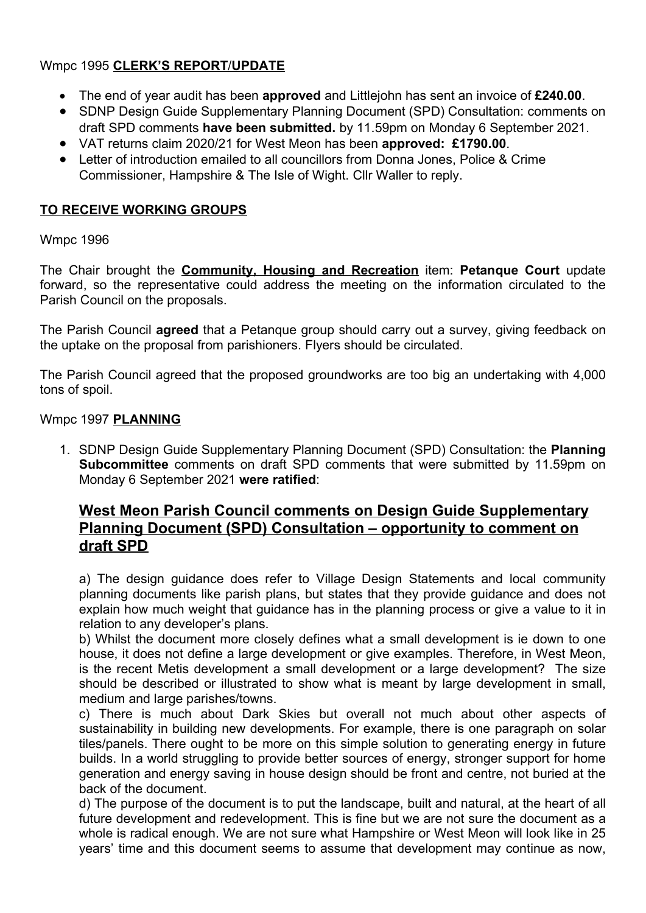### Wmpc 1995 CLERK'S REPORT/UPDATE

- The end of year audit has been approved and Littlejohn has sent an invoice of £240.00.
- SDNP Design Guide Supplementary Planning Document (SPD) Consultation: comments on draft SPD comments have been submitted. by 11.59pm on Monday 6 September 2021.
- VAT returns claim 2020/21 for West Meon has been approved: £1790.00.
- Letter of introduction emailed to all councillors from Donna Jones, Police & Crime Commissioner, Hampshire & The Isle of Wight. Cllr Waller to reply.

### TO RECEIVE WORKING GROUPS

### Wmpc 1996

The Chair brought the Community, Housing and Recreation item: Petanque Court update forward, so the representative could address the meeting on the information circulated to the Parish Council on the proposals.

The Parish Council agreed that a Petanque group should carry out a survey, giving feedback on the uptake on the proposal from parishioners. Flyers should be circulated.

The Parish Council agreed that the proposed groundworks are too big an undertaking with 4,000 tons of spoil.

#### Wmpc 1997 PLANNING

1. SDNP Design Guide Supplementary Planning Document (SPD) Consultation: the Planning Subcommittee comments on draft SPD comments that were submitted by 11.59pm on Monday 6 September 2021 were ratified:

## West Meon Parish Council comments on Design Guide Supplementary Planning Document (SPD) Consultation – opportunity to comment on draft SPD

a) The design guidance does refer to Village Design Statements and local community planning documents like parish plans, but states that they provide guidance and does not explain how much weight that guidance has in the planning process or give a value to it in relation to any developer's plans.

b) Whilst the document more closely defines what a small development is ie down to one house, it does not define a large development or give examples. Therefore, in West Meon, is the recent Metis development a small development or a large development? The size should be described or illustrated to show what is meant by large development in small, medium and large parishes/towns.

c) There is much about Dark Skies but overall not much about other aspects of sustainability in building new developments. For example, there is one paragraph on solar tiles/panels. There ought to be more on this simple solution to generating energy in future builds. In a world struggling to provide better sources of energy, stronger support for home generation and energy saving in house design should be front and centre, not buried at the back of the document.

d) The purpose of the document is to put the landscape, built and natural, at the heart of all future development and redevelopment. This is fine but we are not sure the document as a whole is radical enough. We are not sure what Hampshire or West Meon will look like in 25 years' time and this document seems to assume that development may continue as now,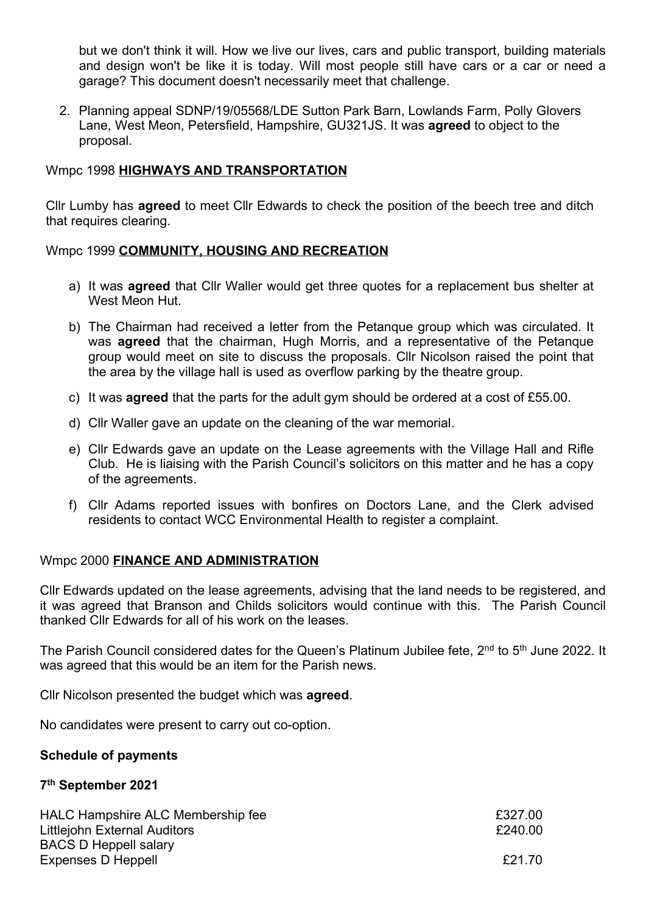but we don't think it will. How we live our lives, cars and public transport, building materials and design won't be like it is today. Will most people still have cars or a car or need a garage? This document doesn't necessarily meet that challenge.

2. Planning appeal SDNP/19/05568/LDE Sutton Park Barn, Lowlands Farm, Polly Glovers Lane, West Meon, Petersfield, Hampshire, GU321JS. It was agreed to object to the proposal.

#### Wmpc 1998 HIGHWAYS AND TRANSPORTATION

Cllr Lumby has agreed to meet Cllr Edwards to check the position of the beech tree and ditch that requires clearing.

#### Wmpc 1999 COMMUNITY, HOUSING AND RECREATION

- a) It was **agreed** that Cllr Waller would get three quotes for a replacement bus shelter at West Meon Hut.
- b) The Chairman had received a letter from the Petanque group which was circulated. It was **agreed** that the chairman, Hugh Morris, and a representative of the Petanque group would meet on site to discuss the proposals. Cllr Nicolson raised the point that the area by the village hall is used as overflow parking by the theatre group.
- c) It was **agreed** that the parts for the adult gym should be ordered at a cost of  $£55.00$ .
- d) Cllr Waller gave an update on the cleaning of the war memorial.
- e) Cllr Edwards gave an update on the Lease agreements with the Village Hall and Rifle Club. He is liaising with the Parish Council's solicitors on this matter and he has a copy of the agreements.
- f) Cllr Adams reported issues with bonfires on Doctors Lane, and the Clerk advised residents to contact WCC Environmental Health to register a complaint.

#### Wmpc 2000 FINANCE AND ADMINISTRATION

Cllr Edwards updated on the lease agreements, advising that the land needs to be registered, and it was agreed that Branson and Childs solicitors would continue with this. The Parish Council thanked Cllr Edwards for all of his work on the leases.

The Parish Council considered dates for the Queen's Platinum Jubilee fete, 2<sup>nd</sup> to 5<sup>th</sup> June 2022. It was agreed that this would be an item for the Parish news.

Cllr Nicolson presented the budget which was agreed.

No candidates were present to carry out co-option.

#### Schedule of payments

#### 7 th September 2021

| <b>HALC Hampshire ALC Membership fee</b> | £327.00 |
|------------------------------------------|---------|
| Littlejohn External Auditors             | £240.00 |
| <b>BACS D Heppell salary</b>             |         |
| Expenses D Heppell                       | £21.70  |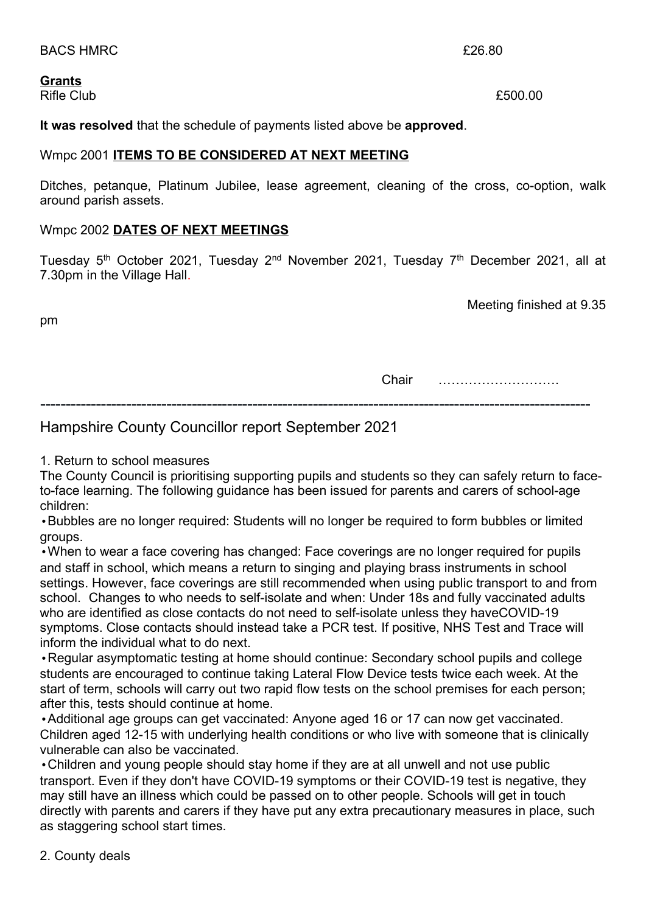BACS HMRC  $\overline{26.80}$ 

#### Grants

pm

Rifle Club **E500.00** 

It was resolved that the schedule of payments listed above be approved.

#### Wmpc 2001 ITEMS TO BE CONSIDERED AT NEXT MEETING

Ditches, petanque, Platinum Jubilee, lease agreement, cleaning of the cross, co-option, walk around parish assets.

#### Wmpc 2002 DATES OF NEXT MEETINGS

Tuesday 5<sup>th</sup> October 2021, Tuesday 2<sup>nd</sup> November 2021, Tuesday 7<sup>th</sup> December 2021, all at 7.30pm in the Village Hall.

Meeting finished at 9.35

Chair ……………………….

-------------------------------------------------------------------------------------------------------------

## Hampshire County Councillor report September 2021

1. Return to school measures

The County Council is prioritising supporting pupils and students so they can safely return to faceto-face learning. The following guidance has been issued for parents and carers of school-age children:

•Bubbles are no longer required: Students will no longer be required to form bubbles or limited groups.

•When to wear a face covering has changed: Face coverings are no longer required for pupils and staff in school, which means a return to singing and playing brass instruments in school settings. However, face coverings are still recommended when using public transport to and from school. Changes to who needs to self-isolate and when: Under 18s and fully vaccinated adults who are identified as close contacts do not need to self-isolate unless they haveCOVID-19 symptoms. Close contacts should instead take a PCR test. If positive, NHS Test and Trace will inform the individual what to do next.

•Regular asymptomatic testing at home should continue: Secondary school pupils and college students are encouraged to continue taking Lateral Flow Device tests twice each week. At the start of term, schools will carry out two rapid flow tests on the school premises for each person; after this, tests should continue at home.

•Additional age groups can get vaccinated: Anyone aged 16 or 17 can now get vaccinated. Children aged 12-15 with underlying health conditions or who live with someone that is clinically vulnerable can also be vaccinated.

•Children and young people should stay home if they are at all unwell and not use public transport. Even if they don't have COVID-19 symptoms or their COVID-19 test is negative, they may still have an illness which could be passed on to other people. Schools will get in touch directly with parents and carers if they have put any extra precautionary measures in place, such as staggering school start times.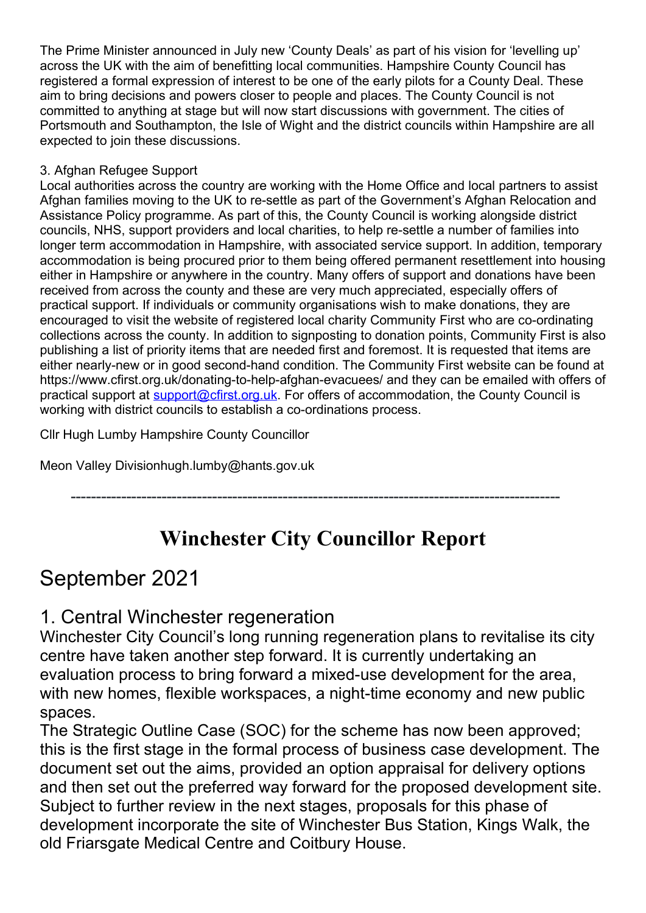The Prime Minister announced in July new 'County Deals' as part of his vision for 'levelling up' across the UK with the aim of benefitting local communities. Hampshire County Council has registered a formal expression of interest to be one of the early pilots for a County Deal. These aim to bring decisions and powers closer to people and places. The County Council is not committed to anything at stage but will now start discussions with government. The cities of Portsmouth and Southampton, the Isle of Wight and the district councils within Hampshire are all expected to join these discussions.

## 3. Afghan Refugee Support

Local authorities across the country are working with the Home Office and local partners to assist Afghan families moving to the UK to re-settle as part of the Government's Afghan Relocation and Assistance Policy programme. As part of this, the County Council is working alongside district councils, NHS, support providers and local charities, to help re-settle a number of families into longer term accommodation in Hampshire, with associated service support. In addition, temporary accommodation is being procured prior to them being offered permanent resettlement into housing either in Hampshire or anywhere in the country. Many offers of support and donations have been received from across the county and these are very much appreciated, especially offers of practical support. If individuals or community organisations wish to make donations, they are encouraged to visit the website of registered local charity Community First who are co-ordinating collections across the county. In addition to signposting to donation points, Community First is also publishing a list of priority items that are needed first and foremost. It is requested that items are either nearly-new or in good second-hand condition. The Community First website can be found at https://www.cfirst.org.uk/donating-to-help-afghan-evacuees/ and they can be emailed with offers of practical support at **support@cfirst.org.uk.** For offers of accommodation, the County Council is working with district councils to establish a co-ordinations process.

Cllr Hugh Lumby Hampshire County Councillor

Meon Valley Divisionhugh.lumby@hants.gov.uk

-------------------------------------------------------------------------------------------------

## Winchester City Councillor Report

## September 2021

## 1. Central Winchester regeneration

Winchester City Council's long running regeneration plans to revitalise its city centre have taken another step forward. It is currently undertaking an evaluation process to bring forward a mixed-use development for the area, with new homes, flexible workspaces, a night-time economy and new public spaces.

The Strategic Outline Case (SOC) for the scheme has now been approved; this is the first stage in the formal process of business case development. The document set out the aims, provided an option appraisal for delivery options and then set out the preferred way forward for the proposed development site. Subject to further review in the next stages, proposals for this phase of development incorporate the site of Winchester Bus Station, Kings Walk, the old Friarsgate Medical Centre and Coitbury House.